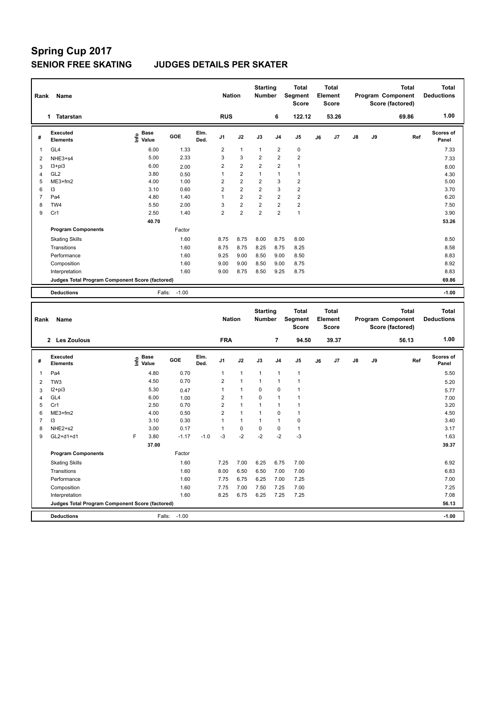| Rank<br>Name   |                                                 |                     |         |              |                | <b>Nation</b>           | <b>Starting</b><br><b>Number</b> |                         | <b>Total</b><br>Segment<br><b>Score</b> |    | <b>Total</b><br>Element<br><b>Score</b> |               |    | <b>Total</b><br>Program Component<br>Score (factored) | <b>Total</b><br><b>Deductions</b> |
|----------------|-------------------------------------------------|---------------------|---------|--------------|----------------|-------------------------|----------------------------------|-------------------------|-----------------------------------------|----|-----------------------------------------|---------------|----|-------------------------------------------------------|-----------------------------------|
|                | <b>Tatarstan</b><br>1                           |                     |         |              | <b>RUS</b>     |                         |                                  | 6                       | 122.12                                  |    | 53.26                                   |               |    | 69.86                                                 | 1.00                              |
| #              | Executed<br><b>Elements</b>                     | Base<br>۴۵<br>Value | GOE     | Elm.<br>Ded. | J <sub>1</sub> | J2                      | J3                               | J <sub>4</sub>          | J5                                      | J6 | J7                                      | $\mathsf{J}8$ | J9 | Ref                                                   | Scores of<br>Panel                |
| 1              | GL <sub>4</sub>                                 | 6.00                | 1.33    |              | $\overline{2}$ | $\mathbf{1}$            | $\mathbf{1}$                     | $\overline{2}$          | $\pmb{0}$                               |    |                                         |               |    |                                                       | 7.33                              |
| $\overline{2}$ | NHE3+s4                                         | 5.00                | 2.33    |              | 3              | 3                       | $\overline{2}$                   | $\overline{2}$          | $\overline{2}$                          |    |                                         |               |    |                                                       | 7.33                              |
| 3              | $13 + pi3$                                      | 6.00                | 2.00    |              | $\overline{2}$ | $\overline{2}$          | $\overline{2}$                   | $\overline{2}$          | 1                                       |    |                                         |               |    |                                                       | 8.00                              |
| 4              | GL <sub>2</sub>                                 | 3.80                | 0.50    |              | 1              | $\overline{\mathbf{c}}$ | $\overline{1}$                   | $\mathbf{1}$            | $\mathbf{1}$                            |    |                                         |               |    |                                                       | 4.30                              |
| 5              | ME3+fm2                                         | 4.00                | 1.00    |              | 2              | $\mathbf 2$             | $\overline{2}$                   | 3                       | $\overline{\mathbf{c}}$                 |    |                                         |               |    |                                                       | 5.00                              |
| 6              | 13                                              | 3.10                | 0.60    |              | $\overline{2}$ | $\overline{2}$          | $\overline{2}$                   | 3                       | $\overline{2}$                          |    |                                         |               |    |                                                       | 3.70                              |
| $\overline{7}$ | Pa4                                             | 4.80                | 1.40    |              | 1              | $\overline{2}$          | $\overline{2}$                   | $\overline{2}$          | $\overline{2}$                          |    |                                         |               |    |                                                       | 6.20                              |
| 8              | TW4                                             | 5.50                | 2.00    |              | 3              | $\overline{\mathbf{c}}$ | $\overline{2}$                   | $\overline{2}$          | $\overline{2}$                          |    |                                         |               |    |                                                       | 7.50                              |
| 9              | Cr1                                             | 2.50                | 1.40    |              | 2              | $\overline{\mathbf{c}}$ | $\overline{2}$                   | $\overline{\mathbf{c}}$ | $\mathbf{1}$                            |    |                                         |               |    |                                                       | 3.90                              |
|                |                                                 | 40.70               |         |              |                |                         |                                  |                         |                                         |    |                                         |               |    |                                                       | 53.26                             |
|                | <b>Program Components</b>                       |                     | Factor  |              |                |                         |                                  |                         |                                         |    |                                         |               |    |                                                       |                                   |
|                | <b>Skating Skills</b>                           |                     | 1.60    |              | 8.75           | 8.75                    | 8.00                             | 8.75                    | 8.00                                    |    |                                         |               |    |                                                       | 8.50                              |
|                | Transitions                                     |                     | 1.60    |              | 8.75           | 8.75                    | 8.25                             | 8.75                    | 8.25                                    |    |                                         |               |    |                                                       | 8.58                              |
|                | Performance                                     |                     | 1.60    |              | 9.25           | 9.00                    | 8.50                             | 9.00                    | 8.50                                    |    |                                         |               |    |                                                       | 8.83                              |
|                | Composition                                     |                     | 1.60    |              | 9.00           | 9.00                    | 8.50                             | 9.00                    | 8.75                                    |    |                                         |               |    |                                                       | 8.92                              |
|                | Interpretation                                  |                     | 1.60    |              | 9.00           | 8.75                    | 8.50                             | 9.25                    | 8.75                                    |    |                                         |               |    |                                                       | 8.83                              |
|                | Judges Total Program Component Score (factored) |                     |         |              |                |                         |                                  |                         |                                         |    |                                         |               |    |                                                       | 69.86                             |
|                | <b>Deductions</b>                               | Falls:              | $-1.00$ |              |                |                         |                                  |                         |                                         |    |                                         |               |    |                                                       | $-1.00$                           |
|                |                                                 |                     |         |              |                |                         |                                  |                         |                                         |    |                                         |               |    |                                                       |                                   |

| Rank | Name                                            |   |                                  |         |              | <b>Nation</b>  |                | <b>Starting</b><br><b>Number</b> |                | <b>Total</b><br>Segment<br><b>Score</b> |    | <b>Total</b><br>Element<br><b>Score</b> |               |    | <b>Total</b><br>Program Component<br>Score (factored) | <b>Total</b><br><b>Deductions</b> |
|------|-------------------------------------------------|---|----------------------------------|---------|--------------|----------------|----------------|----------------------------------|----------------|-----------------------------------------|----|-----------------------------------------|---------------|----|-------------------------------------------------------|-----------------------------------|
|      | 2 Les Zoulous                                   |   |                                  |         |              | <b>FRA</b>     |                |                                  | $\overline{7}$ | 94.50                                   |    | 39.37                                   |               |    | 56.13                                                 | 1.00                              |
| #    | <b>Executed</b><br><b>Elements</b>              |   | <b>Base</b><br>o Base<br>⊆ Value | GOE     | Elm.<br>Ded. | J <sub>1</sub> | J2             | J3                               | J <sub>4</sub> | J <sub>5</sub>                          | J6 | J7                                      | $\mathsf{J}8$ | J9 | Ref                                                   | <b>Scores of</b><br>Panel         |
| 1    | Pa4                                             |   | 4.80                             | 0.70    |              | $\mathbf{1}$   | $\mathbf{1}$   | $\mathbf{1}$                     | $\mathbf{1}$   | $\mathbf{1}$                            |    |                                         |               |    |                                                       | 5.50                              |
| 2    | TW <sub>3</sub>                                 |   | 4.50                             | 0.70    |              | 2              | $\overline{1}$ |                                  | $\overline{1}$ | $\mathbf{1}$                            |    |                                         |               |    |                                                       | 5.20                              |
| 3    | $I2 + pi3$                                      |   | 5.30                             | 0.47    |              |                | 1              | 0                                | $\mathbf 0$    | 1                                       |    |                                         |               |    |                                                       | 5.77                              |
| 4    | GL4                                             |   | 6.00                             | 1.00    |              | 2              | $\overline{1}$ | 0                                | $\mathbf{1}$   | 1                                       |    |                                         |               |    |                                                       | 7.00                              |
| 5    | Cr1                                             |   | 2.50                             | 0.70    |              | $\overline{2}$ | $\overline{1}$ |                                  | $\mathbf{1}$   | 1                                       |    |                                         |               |    |                                                       | 3.20                              |
| 6    | $ME3+fm2$                                       |   | 4.00                             | 0.50    |              | $\overline{2}$ | 1              |                                  | 0              | 1                                       |    |                                         |               |    |                                                       | 4.50                              |
|      | 13                                              |   | 3.10                             | 0.30    |              |                | $\mathbf{1}$   |                                  | $\mathbf{1}$   | 0                                       |    |                                         |               |    |                                                       | 3.40                              |
| 8    | NHE2+s2                                         |   | 3.00                             | 0.17    |              |                | $\pmb{0}$      | 0                                | $\mathbf 0$    | $\mathbf{1}$                            |    |                                         |               |    |                                                       | 3.17                              |
| 9    | GL2+d1+d1                                       | F | 3.80                             | $-1.17$ | $-1.0$       | $-3$           | $-2$           | $-2$                             | $-2$           | $-3$                                    |    |                                         |               |    |                                                       | 1.63                              |
|      |                                                 |   | 37.00                            |         |              |                |                |                                  |                |                                         |    |                                         |               |    |                                                       | 39.37                             |
|      | <b>Program Components</b>                       |   |                                  | Factor  |              |                |                |                                  |                |                                         |    |                                         |               |    |                                                       |                                   |
|      | <b>Skating Skills</b>                           |   |                                  | 1.60    |              | 7.25           | 7.00           | 6.25                             | 6.75           | 7.00                                    |    |                                         |               |    |                                                       | 6.92                              |
|      | Transitions                                     |   |                                  | 1.60    |              | 8.00           | 6.50           | 6.50                             | 7.00           | 7.00                                    |    |                                         |               |    |                                                       | 6.83                              |
|      | Performance                                     |   |                                  | 1.60    |              | 7.75           | 6.75           | 6.25                             | 7.00           | 7.25                                    |    |                                         |               |    |                                                       | 7.00                              |
|      | Composition                                     |   |                                  | 1.60    |              | 7.75           | 7.00           | 7.50                             | 7.25           | 7.00                                    |    |                                         |               |    |                                                       | 7.25                              |
|      | Interpretation                                  |   |                                  | 1.60    |              | 8.25           | 6.75           | 6.25                             | 7.25           | 7.25                                    |    |                                         |               |    |                                                       | 7.08                              |
|      | Judges Total Program Component Score (factored) |   |                                  |         |              |                |                |                                  |                |                                         |    |                                         |               |    |                                                       | 56.13                             |
|      | <b>Deductions</b>                               |   | Falls:                           | $-1.00$ |              |                |                |                                  |                |                                         |    |                                         |               |    |                                                       | $-1.00$                           |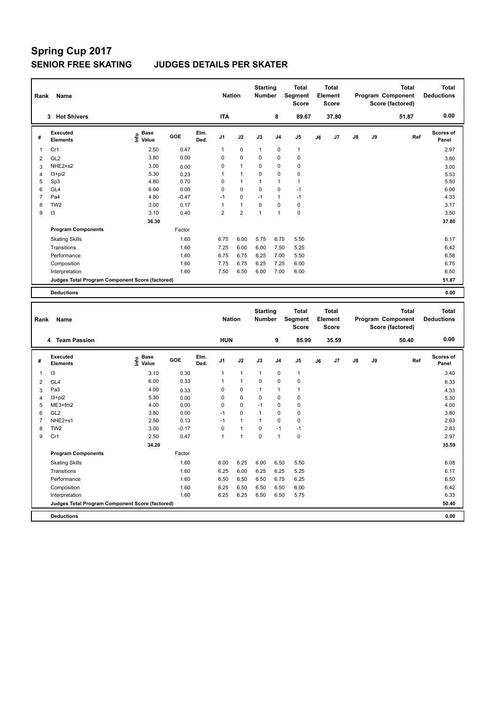|                | Rank<br>Name                                    |                                  |         |              |                | <b>Nation</b>  | <b>Starting</b><br><b>Number</b> |                | <b>Total</b><br>Segment<br><b>Score</b> |    | Total<br>Element<br><b>Score</b> |               |    | <b>Total</b><br>Program Component<br>Score (factored) | <b>Total</b><br><b>Deductions</b> |
|----------------|-------------------------------------------------|----------------------------------|---------|--------------|----------------|----------------|----------------------------------|----------------|-----------------------------------------|----|----------------------------------|---------------|----|-------------------------------------------------------|-----------------------------------|
|                | <b>Hot Shivers</b><br>3                         |                                  |         |              | <b>ITA</b>     |                |                                  | 8              | 89.67                                   |    | 37.80                            |               |    | 51.87                                                 | 0.00                              |
| #              | Executed<br><b>Elements</b>                     | <b>Base</b><br>e Base<br>⊆ Value | GOE     | Elm.<br>Ded. | J <sub>1</sub> | J2             | J3                               | J <sub>4</sub> | J <sub>5</sub>                          | J6 | J7                               | $\mathsf{J}8$ | J9 | Ref                                                   | <b>Scores of</b><br>Panel         |
| 1              | Cr1                                             | 2.50                             | 0.47    |              | 1              | 0              | $\mathbf{1}$                     | $\mathbf 0$    | $\mathbf{1}$                            |    |                                  |               |    |                                                       | 2.97                              |
| $\overline{2}$ | GL <sub>2</sub>                                 | 3.80                             | 0.00    |              | 0              | 0              | 0                                | $\mathbf 0$    | $\mathbf 0$                             |    |                                  |               |    |                                                       | 3.80                              |
| 3              | NHE2+s2                                         | 3.00                             | 0.00    |              | 0              | $\mathbf{1}$   | 0                                | 0              | $\mathbf 0$                             |    |                                  |               |    |                                                       | 3.00                              |
| $\overline{4}$ | $13 + pi2$                                      | 5.30                             | 0.23    |              | 1              | $\mathbf{1}$   | 0                                | $\mathbf 0$    | $\pmb{0}$                               |    |                                  |               |    |                                                       | 5.53                              |
| 5              | Sp3                                             | 4.80                             | 0.70    |              | 0              | $\mathbf{1}$   | 1                                | 1              | 1                                       |    |                                  |               |    |                                                       | 5.50                              |
| 6              | GL <sub>4</sub>                                 | 6.00                             | 0.00    |              | 0              | 0              | 0                                | 0              | $-1$                                    |    |                                  |               |    |                                                       | 6.00                              |
| $\overline{7}$ | Pa4                                             | 4.80                             | $-0.47$ |              | $-1$           | 0              | $-1$                             | 1              | $-1$                                    |    |                                  |               |    |                                                       | 4.33                              |
| 8              | TW <sub>2</sub>                                 | 3.00                             | 0.17    |              | 1              | $\mathbf{1}$   | 0                                | $\mathbf 0$    | $\mathbf 0$                             |    |                                  |               |    |                                                       | 3.17                              |
| 9              | 13                                              | 3.10                             | 0.40    |              | $\overline{2}$ | $\overline{2}$ | $\mathbf{1}$                     | 1              | 0                                       |    |                                  |               |    |                                                       | 3.50                              |
|                |                                                 | 36.30                            |         |              |                |                |                                  |                |                                         |    |                                  |               |    |                                                       | 37.80                             |
|                | <b>Program Components</b>                       |                                  | Factor  |              |                |                |                                  |                |                                         |    |                                  |               |    |                                                       |                                   |
|                | <b>Skating Skills</b>                           |                                  | 1.60    |              | 6.75           | 6.00           | 5.75                             | 6.75           | 5.50                                    |    |                                  |               |    |                                                       | 6.17                              |
|                | Transitions                                     |                                  | 1.60    |              | 7.25           | 6.00           | 6.00                             | 7.50           | 5.25                                    |    |                                  |               |    |                                                       | 6.42                              |
|                | Performance                                     |                                  | 1.60    |              | 6.75           | 6.75           | 6.25                             | 7.00           | 5.50                                    |    |                                  |               |    |                                                       | 6.58                              |
|                | Composition                                     |                                  | 1.60    |              | 7.75           | 6.75           | 6.25                             | 7.25           | 6.00                                    |    |                                  |               |    |                                                       | 6.75                              |
|                | Interpretation                                  |                                  | 1.60    |              | 7.50           | 6.50           | 6.00                             | 7.00           | 6.00                                    |    |                                  |               |    |                                                       | 6.50                              |
|                | Judges Total Program Component Score (factored) |                                  |         |              |                |                |                                  |                |                                         |    |                                  |               |    |                                                       | 51.87                             |
|                | <b>Deductions</b>                               |                                  |         |              |                |                |                                  |                |                                         |    |                                  |               |    |                                                       | 0.00                              |
|                |                                                 |                                  |         |              |                |                |                                  |                |                                         |    |                                  |               |    |                                                       |                                   |

| Rank           | Name                                            |                              | <b>Nation</b> |              | <b>Starting</b><br><b>Number</b> |                | <b>Total</b><br>Segment<br><b>Score</b> |                | <b>Total</b><br>Element<br><b>Score</b> |    |       | <b>Total</b><br>Program Component<br>Score (factored) | <b>Total</b><br><b>Deductions</b> |       |                    |
|----------------|-------------------------------------------------|------------------------------|---------------|--------------|----------------------------------|----------------|-----------------------------------------|----------------|-----------------------------------------|----|-------|-------------------------------------------------------|-----------------------------------|-------|--------------------|
|                | 4 Team Passion                                  |                              |               |              | <b>HUN</b>                       |                |                                         | 9              | 85.99                                   |    | 35.59 |                                                       |                                   | 50.40 | 0.00               |
| #              | Executed<br><b>Elements</b>                     | <b>Base</b><br>Info<br>Value | GOE           | Elm.<br>Ded. | J <sub>1</sub>                   | J2             | J3                                      | J <sub>4</sub> | J5                                      | J6 | J7    | $\mathsf{J}8$                                         | J9                                | Ref   | Scores of<br>Panel |
| 1              | 13                                              | 3.10                         | 0.30          |              | 1                                | $\overline{1}$ | $\mathbf{1}$                            | $\pmb{0}$      | $\mathbf{1}$                            |    |       |                                                       |                                   |       | 3.40               |
| $\overline{2}$ | GL <sub>4</sub>                                 | 6.00                         | 0.33          |              | 1                                | $\overline{1}$ | 0                                       | $\mathbf 0$    | $\pmb{0}$                               |    |       |                                                       |                                   |       | 6.33               |
| 3              | Pa <sub>3</sub>                                 | 4.00                         | 0.33          |              | 0                                | $\mathbf 0$    | $\overline{1}$                          | $\overline{1}$ | $\mathbf{1}$                            |    |       |                                                       |                                   |       | 4.33               |
| 4              | $13 + pi2$                                      | 5.30                         | 0.00          |              | 0                                | $\mathbf 0$    | 0                                       | $\mathbf 0$    | $\pmb{0}$                               |    |       |                                                       |                                   |       | 5.30               |
| 5              | ME3+fm2                                         | 4.00                         | 0.00          |              | 0                                | $\mathbf 0$    | $-1$                                    | $\mathbf 0$    | 0                                       |    |       |                                                       |                                   |       | 4.00               |
| 6              | GL <sub>2</sub>                                 | 3.80                         | 0.00          |              | $-1$                             | $\mathbf 0$    | $\overline{1}$                          | $\mathbf 0$    | $\pmb{0}$                               |    |       |                                                       |                                   |       | 3.80               |
| $\overline{7}$ | NHE2+s1                                         | 2.50                         | 0.13          |              | $-1$                             | $\overline{1}$ | $\overline{1}$                          | $\mathbf 0$    | $\pmb{0}$                               |    |       |                                                       |                                   |       | 2.63               |
| 8              | TW <sub>2</sub>                                 | 3.00                         | $-0.17$       |              | 0                                | $\overline{1}$ | $\Omega$                                | $-1$           | $-1$                                    |    |       |                                                       |                                   |       | 2.83               |
| 9              | Cr1                                             | 2.50                         | 0.47          |              | 1                                | $\overline{1}$ | $\Omega$                                | $\mathbf{1}$   | $\mathbf 0$                             |    |       |                                                       |                                   |       | 2.97               |
|                |                                                 | 34.20                        |               |              |                                  |                |                                         |                |                                         |    |       |                                                       |                                   |       | 35.59              |
|                | <b>Program Components</b>                       |                              | Factor        |              |                                  |                |                                         |                |                                         |    |       |                                                       |                                   |       |                    |
|                | <b>Skating Skills</b>                           |                              | 1.60          |              | 6.00                             | 6.25           | 6.00                                    | 6.50           | 5.50                                    |    |       |                                                       |                                   |       | 6.08               |
|                | Transitions                                     |                              | 1.60          |              | 6.25                             | 6.00           | 6.25                                    | 6.25           | 5.25                                    |    |       |                                                       |                                   |       | 6.17               |
|                | Performance                                     |                              | 1.60          |              | 6.50                             | 6.50           | 6.50                                    | 6.75           | 6.25                                    |    |       |                                                       |                                   |       | 6.50               |
|                | Composition                                     |                              | 1.60          |              | 6.25                             | 6.50           | 6.50                                    | 6.50           | 6.00                                    |    |       |                                                       |                                   |       | 6.42               |
|                | Interpretation                                  |                              | 1.60          |              | 6.25                             | 6.25           | 6.50                                    | 6.50           | 5.75                                    |    |       |                                                       |                                   |       | 6.33               |
|                | Judges Total Program Component Score (factored) |                              |               |              |                                  |                |                                         |                |                                         |    |       |                                                       |                                   |       | 50.40              |
|                | <b>Deductions</b>                               |                              |               |              |                                  |                |                                         |                |                                         |    |       |                                                       |                                   |       | 0.00               |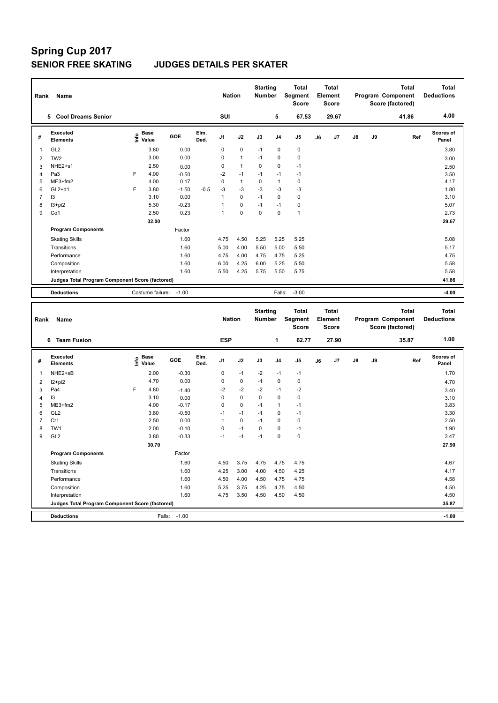|                | Name<br>Rank                                    |   |                                                  |         |              |                | <b>Nation</b> | <b>Starting</b><br><b>Number</b> |                | <b>Total</b><br>Segment<br><b>Score</b> |    | Total<br>Element<br><b>Score</b> |               |    | <b>Total</b><br><b>Program Component</b><br>Score (factored) | Total<br><b>Deductions</b> |
|----------------|-------------------------------------------------|---|--------------------------------------------------|---------|--------------|----------------|---------------|----------------------------------|----------------|-----------------------------------------|----|----------------------------------|---------------|----|--------------------------------------------------------------|----------------------------|
|                | <b>Cool Dreams Senior</b><br>5.                 |   |                                                  |         |              | SUI            |               |                                  | 5              | 67.53                                   |    | 29.67                            |               |    | 41.86                                                        | 4.00                       |
| #              | <b>Executed</b><br><b>Elements</b>              |   | $\mathbf{e}$ Base<br>$\mathbf{e}$ Value<br>Value | GOE     | Elm.<br>Ded. | J <sub>1</sub> | J2            | J3                               | J <sub>4</sub> | J <sub>5</sub>                          | J6 | J7                               | $\mathsf{J}8$ | J9 | Ref                                                          | <b>Scores of</b><br>Panel  |
| 1              | GL <sub>2</sub>                                 |   | 3.80                                             | 0.00    |              | 0              | $\pmb{0}$     | $-1$                             | 0              | 0                                       |    |                                  |               |    |                                                              | 3.80                       |
| 2              | TW <sub>2</sub>                                 |   | 3.00                                             | 0.00    |              | 0              | $\mathbf{1}$  | $-1$                             | $\Omega$       | $\pmb{0}$                               |    |                                  |               |    |                                                              | 3.00                       |
| 3              | NHE2+s1                                         |   | 2.50                                             | 0.00    |              | 0              | $\mathbf{1}$  | $\Omega$                         | $\mathbf 0$    | $-1$                                    |    |                                  |               |    |                                                              | 2.50                       |
| 4              | Pa <sub>3</sub>                                 | F | 4.00                                             | $-0.50$ |              | $-2$           | $-1$          | $-1$                             | $-1$           | $-1$                                    |    |                                  |               |    |                                                              | 3.50                       |
| 5              | ME3+fm2                                         |   | 4.00                                             | 0.17    |              | 0              | $\mathbf{1}$  | 0                                | $\mathbf{1}$   | 0                                       |    |                                  |               |    |                                                              | 4.17                       |
| 6              | $GL2+d1$                                        | F | 3.80                                             | $-1.50$ | $-0.5$       | $-3$           | $-3$          | $-3$                             | $-3$           | $-3$                                    |    |                                  |               |    |                                                              | 1.80                       |
| $\overline{7}$ | I3                                              |   | 3.10                                             | 0.00    |              | 1              | $\Omega$      | $-1$                             | $\Omega$       | $\mathbf 0$                             |    |                                  |               |    |                                                              | 3.10                       |
| 8              | $13 + pi2$                                      |   | 5.30                                             | $-0.23$ |              | 1              | $\mathbf 0$   | $-1$                             | $-1$           | $\pmb{0}$                               |    |                                  |               |    |                                                              | 5.07                       |
| 9              | Co1                                             |   | 2.50                                             | 0.23    |              | 1              | $\mathbf 0$   | $\mathbf 0$                      | $\mathbf 0$    | $\mathbf{1}$                            |    |                                  |               |    |                                                              | 2.73                       |
|                |                                                 |   | 32.00                                            |         |              |                |               |                                  |                |                                         |    |                                  |               |    |                                                              | 29.67                      |
|                | <b>Program Components</b>                       |   |                                                  | Factor  |              |                |               |                                  |                |                                         |    |                                  |               |    |                                                              |                            |
|                | <b>Skating Skills</b>                           |   |                                                  | 1.60    |              | 4.75           | 4.50          | 5.25                             | 5.25           | 5.25                                    |    |                                  |               |    |                                                              | 5.08                       |
|                | Transitions                                     |   |                                                  | 1.60    |              | 5.00           | 4.00          | 5.50                             | 5.00           | 5.50                                    |    |                                  |               |    |                                                              | 5.17                       |
|                | Performance                                     |   |                                                  | 1.60    |              | 4.75           | 4.00          | 4.75                             | 4.75           | 5.25                                    |    |                                  |               |    |                                                              | 4.75                       |
|                | Composition                                     |   |                                                  | 1.60    |              | 6.00           | 4.25          | 6.00                             | 5.25           | 5.50                                    |    |                                  |               |    |                                                              | 5.58                       |
|                | Interpretation                                  |   |                                                  | 1.60    |              | 5.50           | 4.25          | 5.75                             | 5.50           | 5.75                                    |    |                                  |               |    |                                                              | 5.58                       |
|                | Judges Total Program Component Score (factored) |   |                                                  |         |              |                |               |                                  |                |                                         |    |                                  |               |    |                                                              | 41.86                      |
|                | <b>Deductions</b>                               |   | Costume failure:                                 | $-1.00$ |              |                |               |                                  | Falls:         | $-3.00$                                 |    |                                  |               |    |                                                              | $-4.00$                    |
|                |                                                 |   |                                                  |         |              |                |               | <b>Starting</b>                  |                | <b>Total</b>                            |    | <b>Total</b>                     |               |    | <b>Total</b>                                                 | <b>Total</b>               |

| Rank | Name                                            |   |                                    |         |              | <b>Nation</b>  |             | Starting<br><b>Number</b> |                | Total<br>Segment<br><b>Score</b> |    | Total<br>Element<br><b>Score</b> |               |    | Total<br>Program Component<br>Score (factored) | Total<br><b>Deductions</b> |
|------|-------------------------------------------------|---|------------------------------------|---------|--------------|----------------|-------------|---------------------------|----------------|----------------------------------|----|----------------------------------|---------------|----|------------------------------------------------|----------------------------|
|      | <b>Team Fusion</b><br>6                         |   |                                    |         |              | <b>ESP</b>     |             |                           | 1              | 62.77                            |    | 27.90                            |               |    | 35.87                                          | 1.00                       |
| #    | Executed<br><b>Elements</b>                     |   | <b>Base</b><br>$\frac{6}{5}$ Value | GOE     | Elm.<br>Ded. | J <sub>1</sub> | J2          | J3                        | J <sub>4</sub> | J <sub>5</sub>                   | J6 | J7                               | $\mathsf{J}8$ | J9 | Ref                                            | <b>Scores of</b><br>Panel  |
| 1    | NHE2+sB                                         |   | 2.00                               | $-0.30$ |              | 0              | $-1$        | $-2$                      | $-1$           | $-1$                             |    |                                  |               |    |                                                | 1.70                       |
| 2    | $12+pi2$                                        |   | 4.70                               | 0.00    |              | 0              | 0           | $-1$                      | 0              | 0                                |    |                                  |               |    |                                                | 4.70                       |
| 3    | Pa4                                             | F | 4.80                               | $-1.40$ |              | $-2$           | $-2$        | $-2$                      | $-1$           | $-2$                             |    |                                  |               |    |                                                | 3.40                       |
| 4    | 13                                              |   | 3.10                               | 0.00    |              | 0              | $\mathbf 0$ | 0                         | $\mathbf 0$    | $\pmb{0}$                        |    |                                  |               |    |                                                | 3.10                       |
| 5    | ME3+fm2                                         |   | 4.00                               | $-0.17$ |              | 0              | $\mathbf 0$ | $-1$                      | $\mathbf 1$    | $-1$                             |    |                                  |               |    |                                                | 3.83                       |
| 6    | GL <sub>2</sub>                                 |   | 3.80                               | $-0.50$ |              | -1             | $-1$        | $-1$                      | 0              | $-1$                             |    |                                  |               |    |                                                | 3.30                       |
| 7    | Cr1                                             |   | 2.50                               | 0.00    |              | 1              | 0           | $-1$                      | 0              | 0                                |    |                                  |               |    |                                                | 2.50                       |
| 8    | TW1                                             |   | 2.00                               | $-0.10$ |              | 0              | $-1$        | $\mathbf 0$               | $\pmb{0}$      | $-1$                             |    |                                  |               |    |                                                | 1.90                       |
| 9    | GL <sub>2</sub>                                 |   | 3.80                               | $-0.33$ |              | $-1$           | $-1$        | $-1$                      | $\mathbf 0$    | $\pmb{0}$                        |    |                                  |               |    |                                                | 3.47                       |
|      |                                                 |   | 30.70                              |         |              |                |             |                           |                |                                  |    |                                  |               |    |                                                | 27.90                      |
|      | <b>Program Components</b>                       |   |                                    | Factor  |              |                |             |                           |                |                                  |    |                                  |               |    |                                                |                            |
|      | <b>Skating Skills</b>                           |   |                                    | 1.60    |              | 4.50           | 3.75        | 4.75                      | 4.75           | 4.75                             |    |                                  |               |    |                                                | 4.67                       |
|      | Transitions                                     |   |                                    | 1.60    |              | 4.25           | 3.00        | 4.00                      | 4.50           | 4.25                             |    |                                  |               |    |                                                | 4.17                       |
|      | Performance                                     |   |                                    | 1.60    |              | 4.50           | 4.00        | 4.50                      | 4.75           | 4.75                             |    |                                  |               |    |                                                | 4.58                       |
|      | Composition                                     |   |                                    | 1.60    |              | 5.25           | 3.75        | 4.25                      | 4.75           | 4.50                             |    |                                  |               |    |                                                | 4.50                       |
|      | Interpretation                                  |   |                                    | 1.60    |              | 4.75           | 3.50        | 4.50                      | 4.50           | 4.50                             |    |                                  |               |    |                                                | 4.50                       |
|      | Judges Total Program Component Score (factored) |   |                                    |         |              |                |             |                           |                |                                  |    |                                  |               |    |                                                | 35.87                      |
|      | <b>Deductions</b>                               |   | Falls:                             | $-1.00$ |              |                |             |                           |                |                                  |    |                                  |               |    |                                                | $-1.00$                    |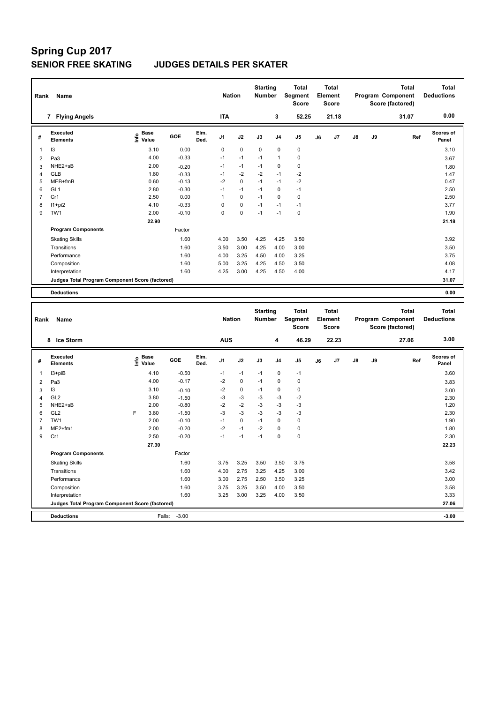|                | Name<br>Rank                                    |                              |         |              |                |             | <b>Starting</b><br><b>Number</b> |                | <b>Total</b><br>Segment<br><b>Score</b> |    | <b>Total</b><br>Element<br><b>Score</b> |               |    | <b>Total</b><br>Program Component<br>Score (factored) | <b>Total</b><br><b>Deductions</b> |
|----------------|-------------------------------------------------|------------------------------|---------|--------------|----------------|-------------|----------------------------------|----------------|-----------------------------------------|----|-----------------------------------------|---------------|----|-------------------------------------------------------|-----------------------------------|
|                | 7 Flying Angels                                 |                              |         |              | <b>ITA</b>     |             |                                  | 3              | 52.25                                   |    | 21.18                                   |               |    | 31.07                                                 | 0.00                              |
| #              | Executed<br><b>Elements</b>                     | <b>Base</b><br>١nfo<br>Value | GOE     | Elm.<br>Ded. | J <sub>1</sub> | J2          | J3                               | J <sub>4</sub> | J <sub>5</sub>                          | J6 | J7                                      | $\mathsf{J}8$ | J9 | Ref                                                   | Scores of<br>Panel                |
| 1              | 13                                              | 3.10                         | 0.00    |              | 0              | $\mathbf 0$ | $\mathbf 0$                      | $\mathbf 0$    | $\mathbf 0$                             |    |                                         |               |    |                                                       | 3.10                              |
| 2              | Pa <sub>3</sub>                                 | 4.00                         | $-0.33$ |              | $-1$           | $-1$        | $-1$                             | $\mathbf{1}$   | $\mathbf 0$                             |    |                                         |               |    |                                                       | 3.67                              |
| 3              | NHE2+sB                                         | 2.00                         | $-0.20$ |              | $-1$           | $-1$        | $-1$                             | 0              | $\mathbf 0$                             |    |                                         |               |    |                                                       | 1.80                              |
| 4              | <b>GLB</b>                                      | 1.80                         | $-0.33$ |              | $-1$           | $-2$        | $-2$                             | $-1$           | $-2$                                    |    |                                         |               |    |                                                       | 1.47                              |
| 5              | MEB+fmB                                         | 0.60                         | $-0.13$ |              | $-2$           | $\mathbf 0$ | $-1$                             | $-1$           | $-2$                                    |    |                                         |               |    |                                                       | 0.47                              |
| 6              | GL <sub>1</sub>                                 | 2.80                         | $-0.30$ |              | $-1$           | $-1$        | $-1$                             | $\mathbf 0$    | $-1$                                    |    |                                         |               |    |                                                       | 2.50                              |
| $\overline{7}$ | Cr1                                             | 2.50                         | 0.00    |              | 1              | $\mathbf 0$ | $-1$                             | 0              | 0                                       |    |                                         |               |    |                                                       | 2.50                              |
| 8              | $11+pi2$                                        | 4.10                         | $-0.33$ |              | 0              | 0           | $-1$                             | $-1$           | $-1$                                    |    |                                         |               |    |                                                       | 3.77                              |
| 9              | TW1                                             | 2.00                         | $-0.10$ |              | 0              | $\pmb{0}$   | $-1$                             | $-1$           | $\mathbf 0$                             |    |                                         |               |    |                                                       | 1.90                              |
|                |                                                 | 22.90                        |         |              |                |             |                                  |                |                                         |    |                                         |               |    |                                                       | 21.18                             |
|                | <b>Program Components</b>                       |                              | Factor  |              |                |             |                                  |                |                                         |    |                                         |               |    |                                                       |                                   |
|                | <b>Skating Skills</b>                           |                              | 1.60    |              | 4.00           | 3.50        | 4.25                             | 4.25           | 3.50                                    |    |                                         |               |    |                                                       | 3.92                              |
|                | Transitions                                     |                              | 1.60    |              | 3.50           | 3.00        | 4.25                             | 4.00           | 3.00                                    |    |                                         |               |    |                                                       | 3.50                              |
|                | Performance                                     |                              | 1.60    |              | 4.00           | 3.25        | 4.50                             | 4.00           | 3.25                                    |    |                                         |               |    |                                                       | 3.75                              |
|                | Composition                                     |                              | 1.60    |              | 5.00           | 3.25        | 4.25                             | 4.50           | 3.50                                    |    |                                         |               |    |                                                       | 4.08                              |
|                | Interpretation                                  |                              | 1.60    |              | 4.25           | 3.00        | 4.25                             | 4.50           | 4.00                                    |    |                                         |               |    |                                                       | 4.17                              |
|                | Judges Total Program Component Score (factored) |                              |         |              |                |             |                                  |                |                                         |    |                                         |               |    |                                                       | 31.07                             |
|                | <b>Deductions</b>                               |                              |         |              |                |             |                                  |                |                                         |    |                                         |               |    |                                                       | 0.00                              |

| Rank                                            | Name                               |   | <b>Nation</b>                    |         | <b>Starting</b><br><b>Number</b> |                | <b>Total</b><br>Segment<br><b>Score</b> |      | <b>Total</b><br>Element<br><b>Score</b> |                |    | <b>Total</b><br>Program Component<br>Score (factored) | <b>Total</b><br><b>Deductions</b> |       |       |                           |
|-------------------------------------------------|------------------------------------|---|----------------------------------|---------|----------------------------------|----------------|-----------------------------------------|------|-----------------------------------------|----------------|----|-------------------------------------------------------|-----------------------------------|-------|-------|---------------------------|
|                                                 | 8 Ice Storm                        |   |                                  |         |                                  | <b>AUS</b>     |                                         |      | 4                                       | 46.29          |    | 22.23                                                 |                                   |       | 27.06 | 3.00                      |
| #                                               | <b>Executed</b><br><b>Elements</b> |   | <b>Base</b><br>o Base<br>⊆ Value | GOE     | Elm.<br>Ded.                     | J <sub>1</sub> | J2                                      | J3   | J <sub>4</sub>                          | J <sub>5</sub> | J6 | J7                                                    | $\mathsf{J}8$                     | J9    | Ref   | <b>Scores of</b><br>Panel |
| 1                                               | I3+piB                             |   | 4.10                             | $-0.50$ |                                  | $-1$           | $-1$                                    | $-1$ | $\mathbf 0$                             | $-1$           |    |                                                       |                                   |       |       | 3.60                      |
| 2                                               | Pa <sub>3</sub>                    |   | 4.00                             | $-0.17$ |                                  | $-2$           | $\mathbf 0$                             | $-1$ | 0                                       | 0              |    |                                                       |                                   |       |       | 3.83                      |
| 3                                               | I3                                 |   | 3.10                             | $-0.10$ |                                  | $-2$           | $\mathbf 0$                             | $-1$ | $\mathbf 0$                             | $\mathbf 0$    |    |                                                       |                                   |       |       | 3.00                      |
| 4                                               | GL <sub>2</sub>                    |   | 3.80                             | $-1.50$ |                                  | -3             | $-3$                                    | $-3$ | $-3$                                    | $-2$           |    |                                                       |                                   |       |       | 2.30                      |
| 5                                               | NHE2+sB                            |   | 2.00                             | $-0.80$ |                                  | $-2$           | $-2$                                    | $-3$ | $-3$                                    | $-3$           |    |                                                       |                                   |       |       | 1.20                      |
| 6                                               | GL <sub>2</sub>                    | F | 3.80                             | $-1.50$ |                                  | $-3$           | $-3$                                    | $-3$ | $-3$                                    | $-3$           |    |                                                       |                                   |       |       | 2.30                      |
| $\overline{7}$                                  | TW <sub>1</sub>                    |   | 2.00                             | $-0.10$ |                                  | $-1$           | $\mathbf 0$                             | $-1$ | $\mathbf 0$                             | $\mathbf 0$    |    |                                                       |                                   |       |       | 1.90                      |
| 8                                               | ME2+fm1                            |   | 2.00                             | $-0.20$ |                                  | $-2$           | $-1$                                    | $-2$ | $\mathbf 0$                             | $\mathbf 0$    |    |                                                       |                                   |       |       | 1.80                      |
| 9                                               | Cr1                                |   | 2.50                             | $-0.20$ |                                  | $-1$           | $-1$                                    | $-1$ | $\Omega$                                | $\mathbf 0$    |    |                                                       |                                   |       |       | 2.30                      |
|                                                 |                                    |   | 27.30                            |         |                                  |                |                                         |      |                                         |                |    |                                                       |                                   |       |       | 22.23                     |
|                                                 | <b>Program Components</b>          |   |                                  | Factor  |                                  |                |                                         |      |                                         |                |    |                                                       |                                   |       |       |                           |
|                                                 | <b>Skating Skills</b>              |   |                                  | 1.60    |                                  | 3.75           | 3.25                                    | 3.50 | 3.50                                    | 3.75           |    |                                                       |                                   |       |       | 3.58                      |
|                                                 | Transitions                        |   |                                  | 1.60    |                                  | 4.00           | 2.75                                    | 3.25 | 4.25                                    | 3.00           |    |                                                       |                                   |       |       | 3.42                      |
|                                                 | Performance                        |   |                                  | 1.60    |                                  | 3.00           | 2.75                                    | 2.50 | 3.50                                    | 3.25           |    |                                                       |                                   |       |       | 3.00                      |
|                                                 | Composition                        |   |                                  | 1.60    |                                  | 3.75           | 3.25                                    | 3.50 | 4.00                                    | 3.50           |    |                                                       |                                   |       |       | 3.58                      |
|                                                 | Interpretation                     |   |                                  | 1.60    |                                  | 3.25           | 3.00                                    | 3.25 | 4.00                                    | 3.50           |    |                                                       |                                   |       |       | 3.33                      |
| Judges Total Program Component Score (factored) |                                    |   |                                  |         |                                  |                |                                         |      |                                         |                |    |                                                       |                                   | 27.06 |       |                           |
|                                                 | <b>Deductions</b>                  |   | Falls:                           | $-3.00$ |                                  |                |                                         |      |                                         |                |    |                                                       |                                   |       |       | $-3.00$                   |